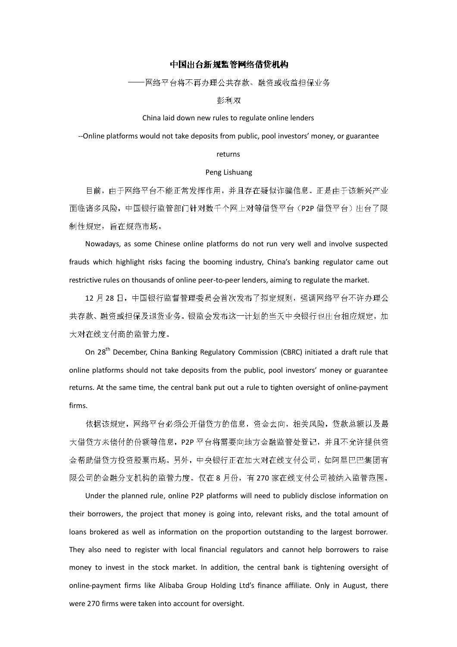# 中国出台新规监管网络借贷机构

——网络平台将不再办理公共存款、融资或收益担保业务

### 彭利双

### China laid down new rules to regulate online lenders

--Online platforms would not take deposits from public, pool investors' money, or guarantee

# returns

#### Peng Lishuang

目前,由于网络平台不能正常发挥作用,并且存在疑似诈骗信息。正是由于该新兴产业 面临诸多风险,中国银行监管部门针对数千个网上对等借贷平台(P2P 借贷平台)出台了限 制性规定,旨在规范市场。

Nowadays, as some Chinese online platforms do not run very well and involve suspected frauds which highlight risks facing the booming industry, China's banking regulator came out restrictive rules on thousands of online peer-to-peer lenders, aiming to regulate the market.

12 月 28 日,中国银行监督管理委员会首次发布了拟定规则,强调网络平台不许办理公 共存款、融资或担保及退货业务。银监会发布这一计划的当天中央银行也出台相应规定,加 大对在线支付商的监管力度。

On 28th December, China Banking Regulatory Commission (CBRC) initiated a draft rule that online platforms should not take deposits from the public, pool investors' money or guarantee returns. At the same time, the central bank put out a rule to tighten oversight of online-payment firms.

依据该规定,网络平台必须公开借贷方的信息,资金去向,相关风险,贷款总额以及最 大借贷方未偿付的份额等信息,P2P 平台将需要向地方金融监管处登记,并且不允许提供资 金帮助借贷方投资股票市场。另外,中央银行正在加大对在线支付公司,如阿里巴巴集团有 限公司的金融分支机构的监管力度。仅在 8 月份,有 270 家在线支付公司被纳入监管范围。

Under the planned rule, online P2P platforms will need to publicly disclose information on their borrowers, the project that money is going into, relevant risks, and the total amount of loans brokered as well as information on the proportion outstanding to the largest borrower. They also need to register with local financial regulators and cannot help borrowers to raise money to invest in the stock market. In addition, the central bank is tightening oversight of online-payment firms like Alibaba Group Holding Ltd's finance affiliate. Only in August, there were 270 firms were taken into account for oversight.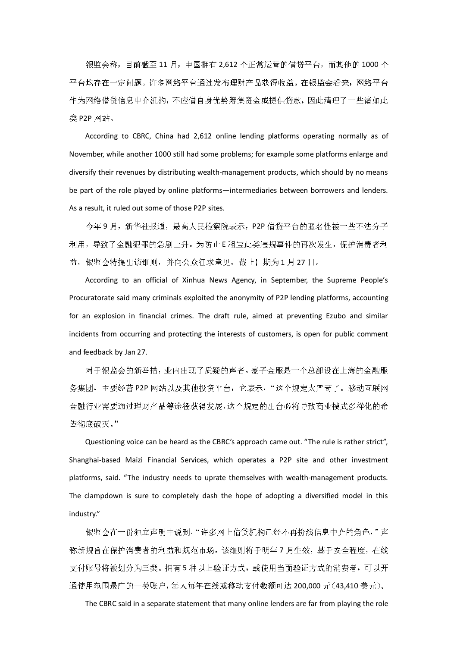银监会称,目前截至 11 月,中国拥有 2,612 个正常运营的借贷平台,而其他的 1000 个 平台均存在一定问题。许多网络平台通过发布理财产品获得收益。在银监会看来,网络平台 作为网络借贷信息中介机构,不应借自身优势筹集资金或提供贷款,因此清理了一些诸如此 类 P2P 网站。

According to CBRC, China had 2,612 online lending platforms operating normally as of November, while another 1000 still had some problems; for example some platforms enlarge and diversify their revenues by distributing wealth-management products, which should by no means be part of the role played by online platforms—intermediaries between borrowers and lenders. As a result, it ruled out some of those P2P sites.

今年 9 月, 新华社报道, 最高人民检察院表示, P2P 借贷平台的匿名性被一些不法分子 利用,导致了金融犯罪的急剧上升。为防止 E 租宝此类违规事件的再次发生,保护消费者利 益,银监会特提出该细则,并向公众征求意见,截止日期为 1 月 27 日。

According to an official of Xinhua News Agency, in September, the Supreme People's Procuratorate said many criminals exploited the anonymity of P2P lending platforms, accounting for an explosion in financial crimes. The draft rule, aimed at preventing Ezubo and similar incidents from occurring and protecting the interests of customers, is open for public comment and feedback by Jan 27.

对于银监会的新举措,业内出现了质疑的声音。麦子金服是一个总部设在上海的金融服 务集团,主要经营 P2P 网站以及其他投资平台,它表示,"这个规定太严苛了。移动互联网 金融行业需要通过理财产品等途径获得发展,这个规定的出台必将导致商业模式多样化的希 望彻底破灭。"

Questioning voice can be heard as the CBRC's approach came out. "The rule is rather strict", Shanghai-based Maizi Financial Services, which operates a P2P site and other investment platforms, said. "The industry needs to uprate themselves with wealth-management products. The clampdown is sure to completely dash the hope of adopting a diversified model in this industry."

银监会在一份独立声明中说到,"许多网上借贷机构已经不再扮演信息中介的角色,"声 称新规旨在保护消费者的利益和规范市场。该细则将于明年 7 月生效,基于安全程度,在线 支付账号将被划分为三类。拥有 5 种以上验证方式,或使用当面验证方式的消费者,可以开 通使用范围最广的一类账户,每人每年在线或移动支付数额可达 200,000 元(43,410 美元)。

The CBRC said in a separate statement that many online lenders are far from playing the role